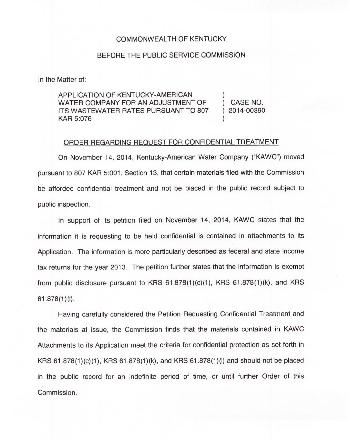## COMMONWEALTH OF KENTUCKY

## BEFORE THE PUBLIC SERVICE COMMISSION

In the Matter of:

APPLICATION OF KENTUCKY-AMERICAN WATER COMPANY FOR AN ADJUSTMENT OF (CASE NO.<br>ITS WASTEWATER RATES PURSUANT TO 807 (2014-00390) ITS WASTEWATER RATES PURSUANT TO 807 KAR 5:076

## ORDER REGARDING REQUEST FOR CONFIDENTIAL TREATMENT

On November 14, 2014, Kentucky-American Water Company ("KAWC") moved pursuant to 807 KAR 5:001, Section 13, that certain materials filed with the Commission be afforded confidential treatment and not be placed in the public record subject to public inspection.

In support of its petition filed on November 14, 2014, KAWC states that the information it is requesting to be held confidential is contained in attachments to its Application. The information is more particularly described as federal and state income tax returns for the year 2013. The petition further states that the information is exempt from public disclosure pursuant to KRS  $61.878(1)(c)(1)$ , KRS  $61.878(1)(k)$ , and KRS  $61.878(1)(i)$ .

Having carefully considered the Petition Requesting Confidential Treatment and the materials at issue, the Commission finds that the materials contained in KAWC Attachments to its Application meet the criteria for confidential protection as set forth in KRS  $61.878(1)(c)(1)$ , KRS  $61.878(1)(k)$ , and KRS  $61.878(1)(l)$  and should not be placed in the public record for an indefinite period of time, or until further Order of this Commission.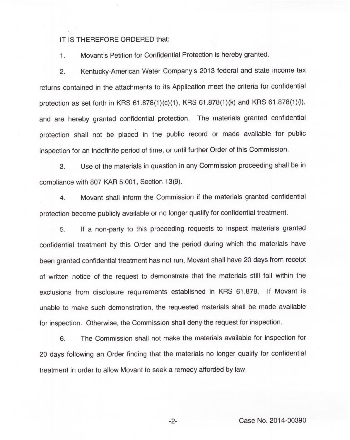## IT IS THEREFORE ORDERED that:

1. Movant's Petition for Confidential Protection is hereby granted.

2. Kentucky-American Water Company's 2013 federal and state income tax returns contained in the attachments to its Application meet the criteria for confidential protection as set forth in KRS 61.878(1)(c)(1), KRS 61.878(1)(k) and KRS 61.878(1)(l), and are hereby granted confidential protection. The materials granted confidential protection shall not be placed in the public record or made available for public inspection for an indefinite period of time, or until further Order of this Commission.

3. Use of the materials in question in any Commission proceeding shall be in compliance with 807 KAR 5:001, Section 13(9).

4. Movant shall inform the Commission if the materials granted confidential protection become publicly available or no longer qualify for confidential treatment.

5. If a non-party to this proceeding requests to inspect materials granted confidential treatment by this Order and the period during which the materials have been granted confidential treatment has not run, Movant shall have 20 days from receipt of written notice of the request to demonstrate that the materials still fall within the exclusions from disclosure requirements established in KRS 61.878. If Movant is unable to make such demonstration, the requested materials shall be made available for inspection. Otherwise, the Commission shall deny the request for inspection.

6. The Commission shall not make the materials available for inspection for 20 days following an Order finding that the materials no longer qualify for confidential treatment in order to allow Movant to seek a remedy afforded by law.

-2- Case No. 2014-00390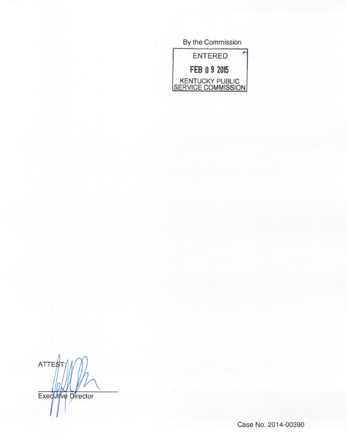| By the Commission                     |
|---------------------------------------|
| <b>ENTERED</b>                        |
| FEB 0 9 2015                          |
| KENTUCKY PUBLIC<br>SERVICE COMMISSION |

ATTEST Executive Director

Case No. 2014-00390